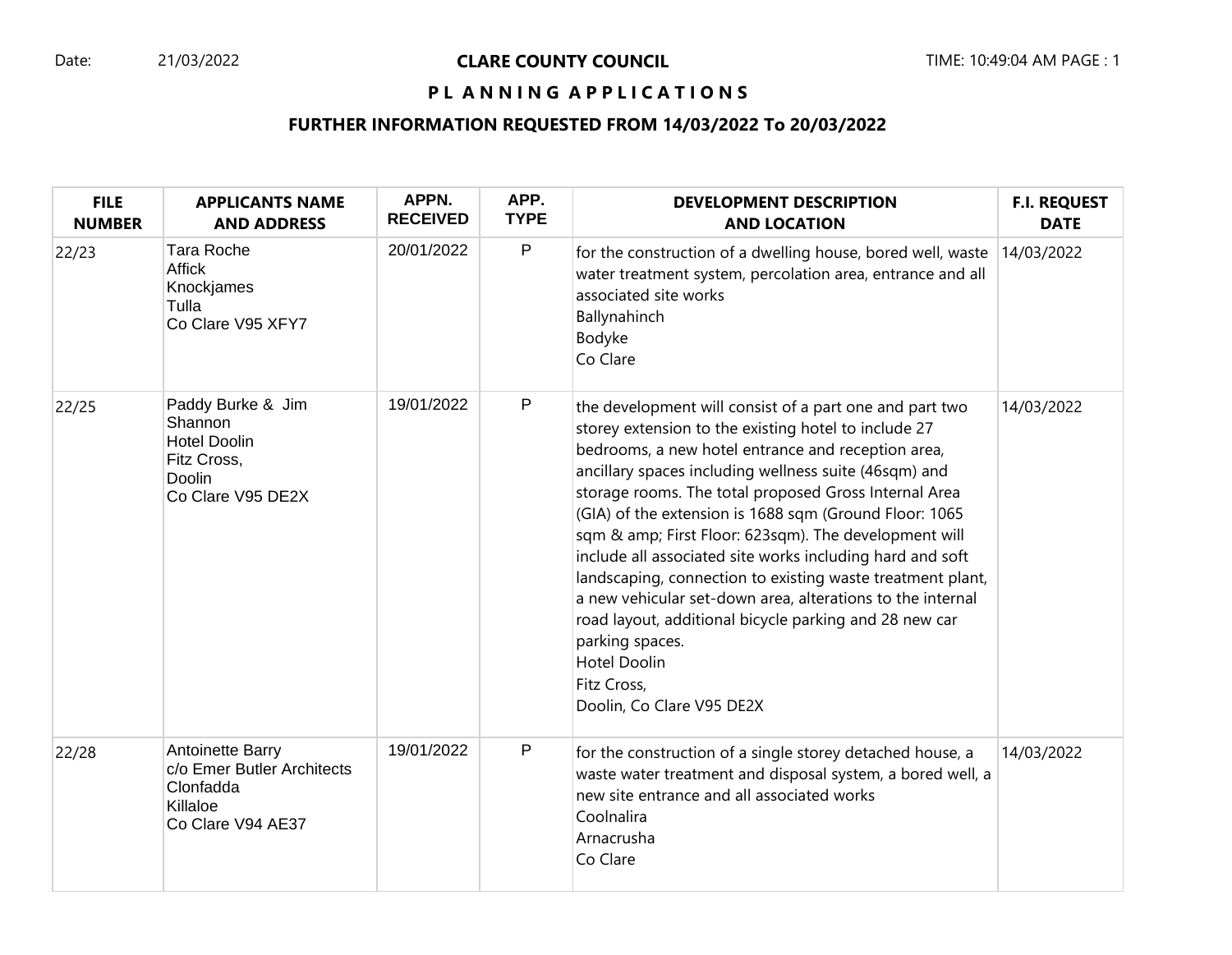## Date: 21/03/2022 **CLARE COUNTY COUNCIL** TIME: 10:49:04 AM PAGE : 1

## PL ANNING APPLICATIONS

| <b>FILE</b><br><b>NUMBER</b> | <b>APPLICANTS NAME</b><br><b>AND ADDRESS</b>                                                      | APPN.<br><b>RECEIVED</b> | APP.<br><b>TYPE</b> | <b>DEVELOPMENT DESCRIPTION</b><br><b>AND LOCATION</b>                                                                                                                                                                                                                                                                                                                                                                                                                                                                                                                                                                                                                                                                                               | <b>F.I. REQUEST</b><br><b>DATE</b> |
|------------------------------|---------------------------------------------------------------------------------------------------|--------------------------|---------------------|-----------------------------------------------------------------------------------------------------------------------------------------------------------------------------------------------------------------------------------------------------------------------------------------------------------------------------------------------------------------------------------------------------------------------------------------------------------------------------------------------------------------------------------------------------------------------------------------------------------------------------------------------------------------------------------------------------------------------------------------------------|------------------------------------|
| 22/23                        | <b>Tara Roche</b><br><b>Affick</b><br>Knockjames<br>Tulla<br>Co Clare V95 XFY7                    | 20/01/2022               | $\mathsf{P}$        | for the construction of a dwelling house, bored well, waste $ 14/03/2022 $<br>water treatment system, percolation area, entrance and all<br>associated site works<br>Ballynahinch<br>Bodyke<br>Co Clare                                                                                                                                                                                                                                                                                                                                                                                                                                                                                                                                             |                                    |
| 22/25                        | Paddy Burke & Jim<br>Shannon<br><b>Hotel Doolin</b><br>Fitz Cross,<br>Doolin<br>Co Clare V95 DE2X | 19/01/2022               | $\mathsf{P}$        | the development will consist of a part one and part two<br>storey extension to the existing hotel to include 27<br>bedrooms, a new hotel entrance and reception area,<br>ancillary spaces including wellness suite (46sqm) and<br>storage rooms. The total proposed Gross Internal Area<br>(GIA) of the extension is 1688 sqm (Ground Floor: 1065<br>sqm & amp; First Floor: 623sqm). The development will<br>include all associated site works including hard and soft<br>landscaping, connection to existing waste treatment plant,<br>a new vehicular set-down area, alterations to the internal<br>road layout, additional bicycle parking and 28 new car<br>parking spaces.<br><b>Hotel Doolin</b><br>Fitz Cross,<br>Doolin, Co Clare V95 DE2X | 14/03/2022                         |
| 22/28                        | Antoinette Barry<br>c/o Emer Butler Architects<br>Clonfadda<br>Killaloe<br>Co Clare V94 AE37      | 19/01/2022               | $\mathsf{P}$        | for the construction of a single storey detached house, a<br>waste water treatment and disposal system, a bored well, a<br>new site entrance and all associated works<br>Coolnalira<br>Arnacrusha<br>Co Clare                                                                                                                                                                                                                                                                                                                                                                                                                                                                                                                                       | 14/03/2022                         |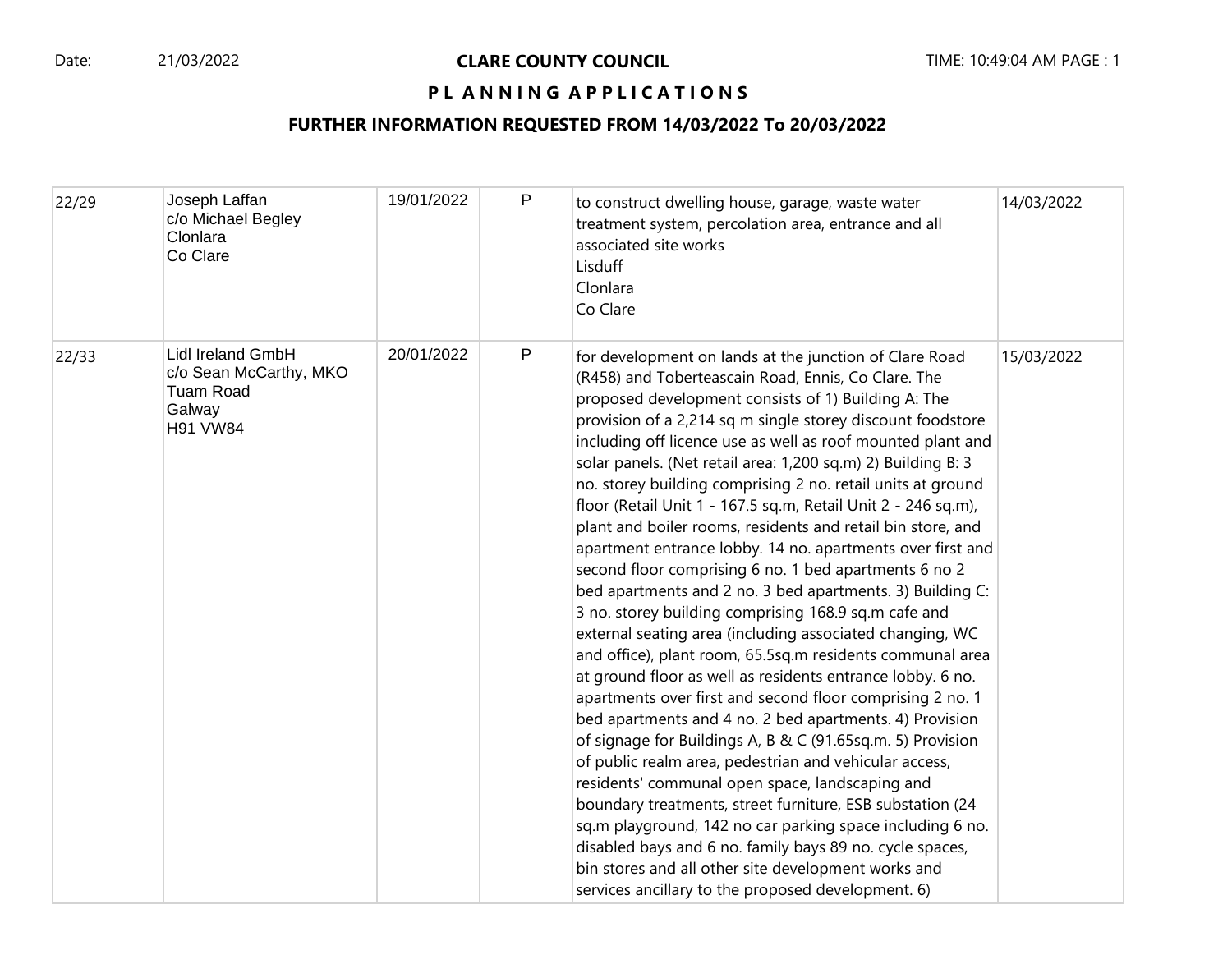## PL ANNING APPLICATIONS

| 22/29 | Joseph Laffan<br>c/o Michael Begley<br>Clonlara<br>Co Clare                                  | 19/01/2022 | P            | to construct dwelling house, garage, waste water<br>treatment system, percolation area, entrance and all<br>associated site works<br>Lisduff<br>Clonlara<br>Co Clare                                                                                                                                                                                                                                                                                                                                                                                                                                                                                                                                                                                                                                                                                                                                                                                                                                                                                                                                                                                                                                                                                                                                                                                                                                                                                                                                                                                                                                      | 14/03/2022 |
|-------|----------------------------------------------------------------------------------------------|------------|--------------|-----------------------------------------------------------------------------------------------------------------------------------------------------------------------------------------------------------------------------------------------------------------------------------------------------------------------------------------------------------------------------------------------------------------------------------------------------------------------------------------------------------------------------------------------------------------------------------------------------------------------------------------------------------------------------------------------------------------------------------------------------------------------------------------------------------------------------------------------------------------------------------------------------------------------------------------------------------------------------------------------------------------------------------------------------------------------------------------------------------------------------------------------------------------------------------------------------------------------------------------------------------------------------------------------------------------------------------------------------------------------------------------------------------------------------------------------------------------------------------------------------------------------------------------------------------------------------------------------------------|------------|
| 22/33 | <b>Lidl Ireland GmbH</b><br>c/o Sean McCarthy, MKO<br>Tuam Road<br>Galway<br><b>H91 VW84</b> | 20/01/2022 | $\mathsf{P}$ | for development on lands at the junction of Clare Road<br>(R458) and Toberteascain Road, Ennis, Co Clare. The<br>proposed development consists of 1) Building A: The<br>provision of a 2,214 sq m single storey discount foodstore<br>including off licence use as well as roof mounted plant and<br>solar panels. (Net retail area: 1,200 sq.m) 2) Building B: 3<br>no. storey building comprising 2 no. retail units at ground<br>floor (Retail Unit 1 - 167.5 sq.m, Retail Unit 2 - 246 sq.m),<br>plant and boiler rooms, residents and retail bin store, and<br>apartment entrance lobby. 14 no. apartments over first and<br>second floor comprising 6 no. 1 bed apartments 6 no 2<br>bed apartments and 2 no. 3 bed apartments. 3) Building C:<br>3 no. storey building comprising 168.9 sq.m cafe and<br>external seating area (including associated changing, WC<br>and office), plant room, 65.5sq.m residents communal area<br>at ground floor as well as residents entrance lobby. 6 no.<br>apartments over first and second floor comprising 2 no. 1<br>bed apartments and 4 no. 2 bed apartments. 4) Provision<br>of signage for Buildings A, B & C (91.65sq.m. 5) Provision<br>of public realm area, pedestrian and vehicular access,<br>residents' communal open space, landscaping and<br>boundary treatments, street furniture, ESB substation (24<br>sq.m playground, 142 no car parking space including 6 no.<br>disabled bays and 6 no. family bays 89 no. cycle spaces,<br>bin stores and all other site development works and<br>services ancillary to the proposed development. 6) | 15/03/2022 |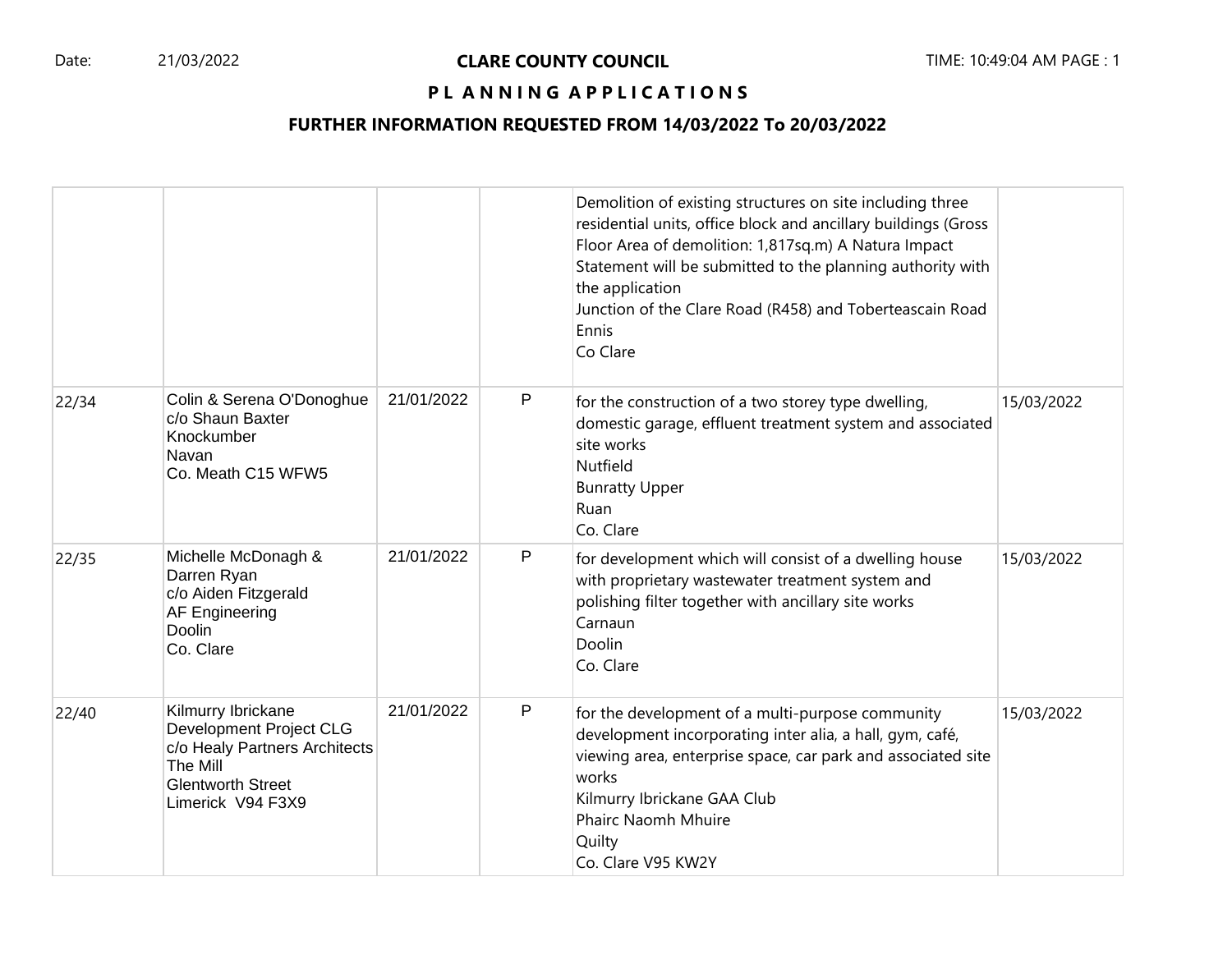## Date: 21/03/2022 **CLARE COUNTY COUNCIL** TIME: 10:49:04 AM PAGE : 1

## PL ANNING APPLICATIONS

|       |                                                                                                                                             |            |              | Demolition of existing structures on site including three<br>residential units, office block and ancillary buildings (Gross<br>Floor Area of demolition: 1,817sq.m) A Natura Impact<br>Statement will be submitted to the planning authority with<br>the application<br>Junction of the Clare Road (R458) and Toberteascain Road<br>Ennis<br>Co Clare |            |
|-------|---------------------------------------------------------------------------------------------------------------------------------------------|------------|--------------|-------------------------------------------------------------------------------------------------------------------------------------------------------------------------------------------------------------------------------------------------------------------------------------------------------------------------------------------------------|------------|
| 22/34 | Colin & Serena O'Donoghue<br>c/o Shaun Baxter<br>Knockumber<br>Navan<br>Co. Meath C15 WFW5                                                  | 21/01/2022 | P            | for the construction of a two storey type dwelling,<br>domestic garage, effluent treatment system and associated<br>site works<br>Nutfield<br><b>Bunratty Upper</b><br>Ruan<br>Co. Clare                                                                                                                                                              | 15/03/2022 |
| 22/35 | Michelle McDonagh &<br>Darren Ryan<br>c/o Aiden Fitzgerald<br><b>AF Engineering</b><br>Doolin<br>Co. Clare                                  | 21/01/2022 | $\mathsf{P}$ | for development which will consist of a dwelling house<br>with proprietary wastewater treatment system and<br>polishing filter together with ancillary site works<br>Carnaun<br>Doolin<br>Co. Clare                                                                                                                                                   | 15/03/2022 |
| 22/40 | Kilmurry Ibrickane<br>Development Project CLG<br>c/o Healy Partners Architects<br>The Mill<br><b>Glentworth Street</b><br>Limerick V94 F3X9 | 21/01/2022 | P            | for the development of a multi-purpose community<br>development incorporating inter alia, a hall, gym, café,<br>viewing area, enterprise space, car park and associated site<br>works<br>Kilmurry Ibrickane GAA Club<br><b>Phairc Naomh Mhuire</b><br>Quilty<br>Co. Clare V95 KW2Y                                                                    | 15/03/2022 |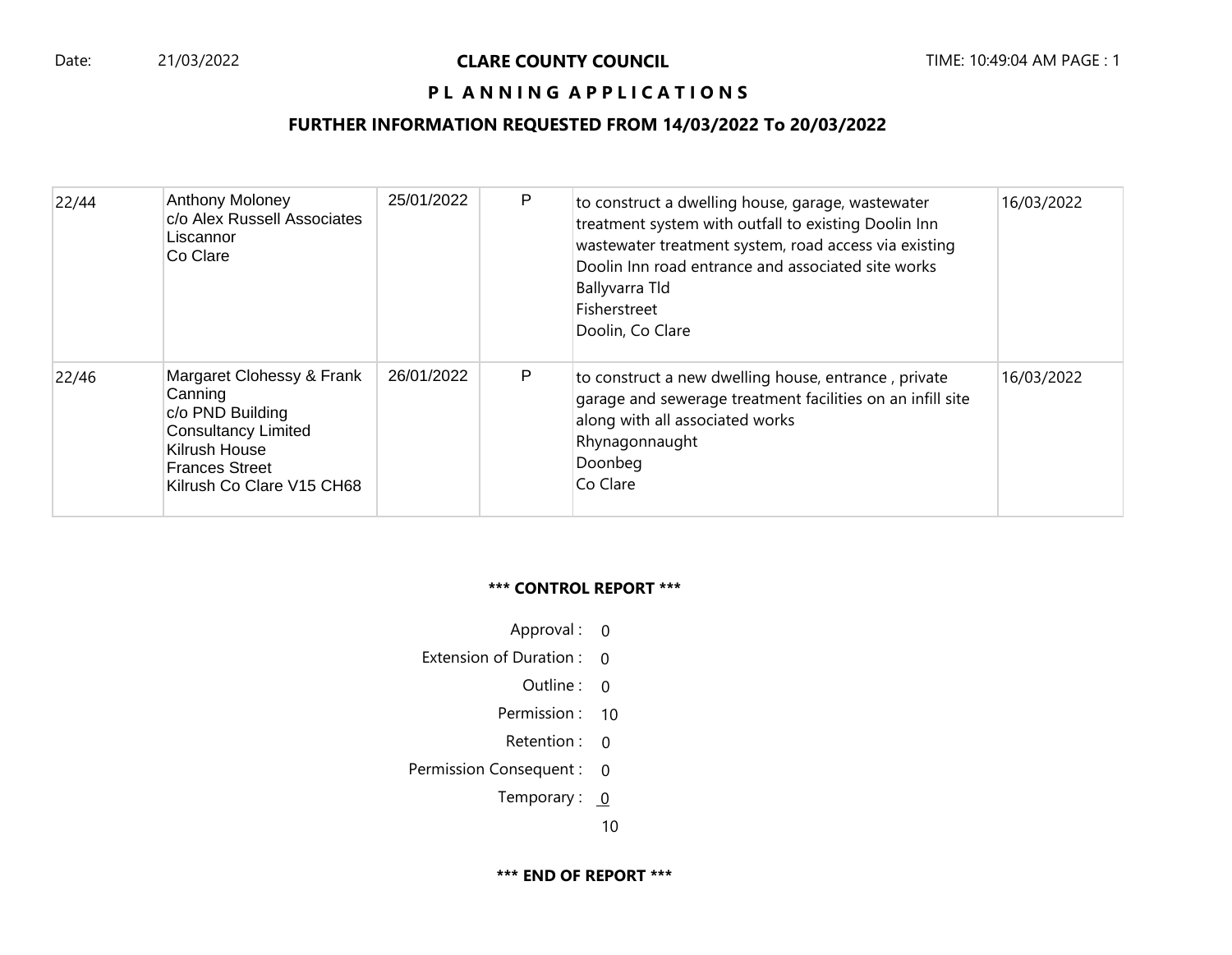## **PL ANNING APPLICATIONS**

#### **FURTHER INFORMATION REQUESTED FROM 14/03/2022 To 20/03/2022**

| 22/44 | Anthony Moloney<br>c/o Alex Russell Associates<br>Liscannor<br>Co Clare                                                                                       | 25/01/2022 | P | to construct a dwelling house, garage, wastewater<br>treatment system with outfall to existing Doolin Inn<br>wastewater treatment system, road access via existing<br>Doolin Inn road entrance and associated site works<br>Ballyvarra Tld<br>Fisherstreet<br>Doolin, Co Clare | 16/03/2022 |
|-------|---------------------------------------------------------------------------------------------------------------------------------------------------------------|------------|---|--------------------------------------------------------------------------------------------------------------------------------------------------------------------------------------------------------------------------------------------------------------------------------|------------|
| 22/46 | Margaret Clohessy & Frank<br>Canning<br>c/o PND Building<br><b>Consultancy Limited</b><br>Kilrush House<br><b>Frances Street</b><br>Kilrush Co Clare V15 CH68 | 26/01/2022 | P | to construct a new dwelling house, entrance, private<br>garage and sewerage treatment facilities on an infill site<br>along with all associated works<br>Rhynagonnaught<br>Doonbeg<br>Co Clare                                                                                 | 16/03/2022 |

#### **\*\*\* CONTROL REPORT \*\*\***

- Approval : 0
- Extension of Duration : 0
	- Outline : 0
	- Permission : 10
	- Retention : 0
- Permission Consequent : 0
	- Temporary :  $0$ 
		- 10

**\*\*\* END OF REPORT \*\*\***